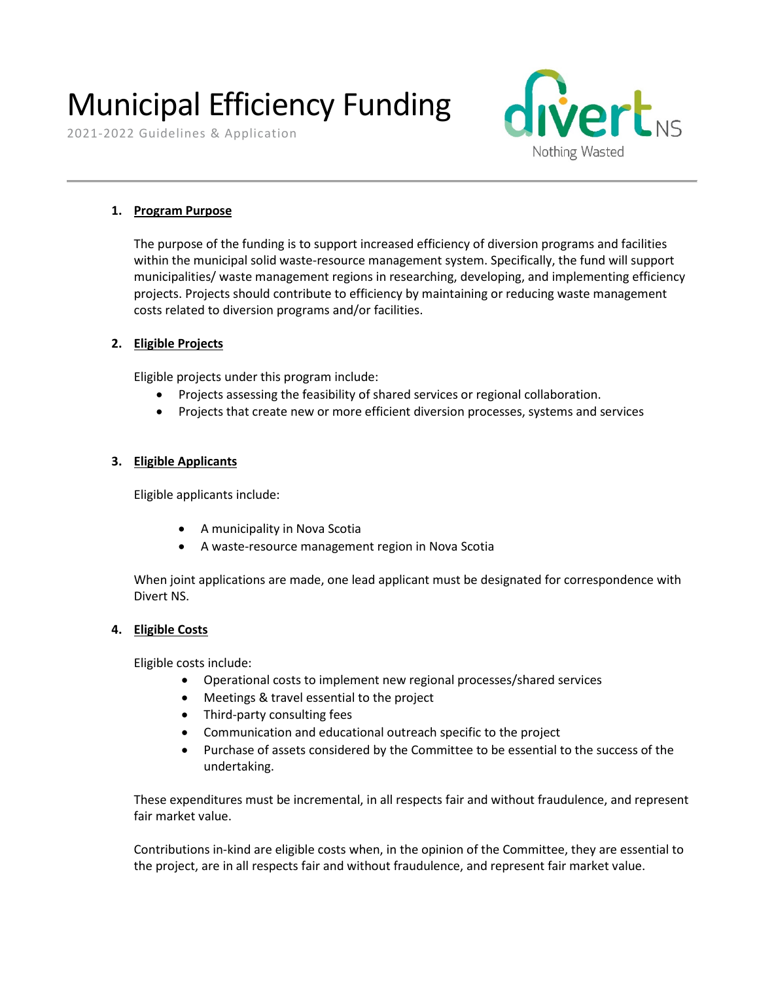# Municipal Efficiency Funding<br>2021-2022 Guidelines & Application



### **1. Program Purpose**

The purpose of the funding is to support increased efficiency of diversion programs and facilities within the municipal solid waste-resource management system. Specifically, the fund will support municipalities/ waste management regions in researching, developing, and implementing efficiency projects. Projects should contribute to efficiency by maintaining or reducing waste management costs related to diversion programs and/or facilities.

#### **2. Eligible Projects**

Eligible projects under this program include:

- Projects assessing the feasibility of shared services or regional collaboration.
- Projects that create new or more efficient diversion processes, systems and services

#### **3. Eligible Applicants**

Eligible applicants include:

- A municipality in Nova Scotia
- A waste-resource management region in Nova Scotia

When joint applications are made, one lead applicant must be designated for correspondence with Divert NS.

#### **4. Eligible Costs**

Eligible costs include:

- Operational costs to implement new regional processes/shared services
- Meetings & travel essential to the project
- Third-party consulting fees
- Communication and educational outreach specific to the project
- Purchase of assets considered by the Committee to be essential to the success of the undertaking.

These expenditures must be incremental, in all respects fair and without fraudulence, and represent fair market value.

Contributions in-kind are eligible costs when, in the opinion of the Committee, they are essential to the project, are in all respects fair and without fraudulence, and represent fair market value.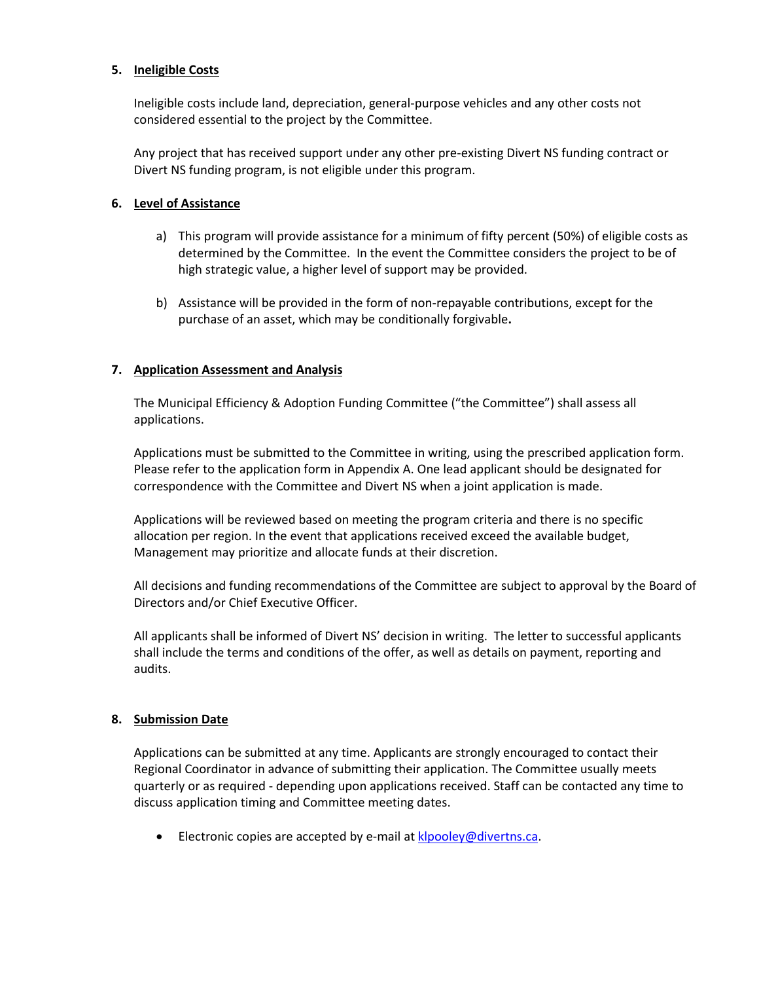#### **5. Ineligible Costs**

Ineligible costs include land, depreciation, general-purpose vehicles and any other costs not considered essential to the project by the Committee.

Any project that has received support under any other pre-existing Divert NS funding contract or Divert NS funding program, is not eligible under this program.

#### **6. Level of Assistance**

- a) This program will provide assistance for a minimum of fifty percent (50%) of eligible costs as determined by the Committee. In the event the Committee considers the project to be of high strategic value, a higher level of support may be provided.
- b) Assistance will be provided in the form of non-repayable contributions, except for the purchase of an asset, which may be conditionally forgivable**.**

#### **7. Application Assessment and Analysis**

The Municipal Efficiency & Adoption Funding Committee ("the Committee") shall assess all applications.

Applications must be submitted to the Committee in writing, using the prescribed application form. Please refer to the application form in Appendix A. One lead applicant should be designated for correspondence with the Committee and Divert NS when a joint application is made.

Applications will be reviewed based on meeting the program criteria and there is no specific allocation per region. In the event that applications received exceed the available budget, Management may prioritize and allocate funds at their discretion.

All decisions and funding recommendations of the Committee are subject to approval by the Board of Directors and/or Chief Executive Officer.

All applicants shall be informed of Divert NS' decision in writing. The letter to successful applicants shall include the terms and conditions of the offer, as well as details on payment, reporting and audits.

#### **8. Submission Date**

Applications can be submitted at any time. Applicants are strongly encouraged to contact their Regional Coordinator in advance of submitting their application. The Committee usually meets quarterly or as required - depending upon applications received. Staff can be contacted any time to discuss application timing and Committee meeting dates.

• Electronic copies are accepted by e-mail at [klpooley@divertns.ca.](mailto:klpooley@divertns.ca)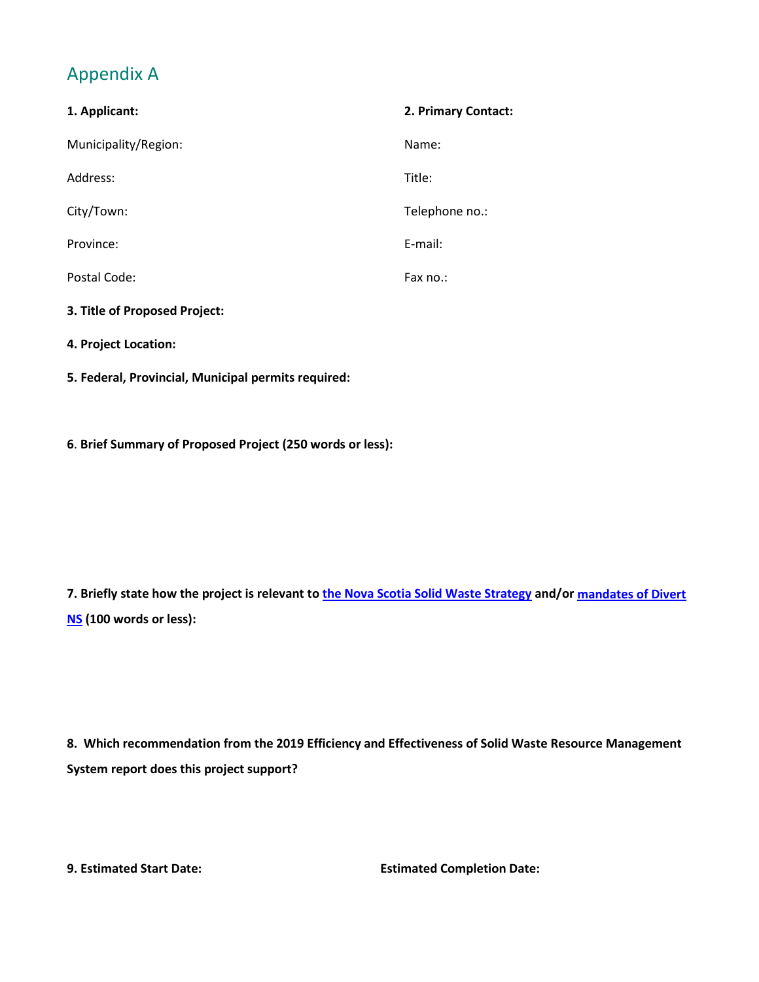# Appendix A

| 1. Applicant:                 | 2. Primary Contact: |
|-------------------------------|---------------------|
| Municipality/Region:          | Name:               |
| Address:                      | Title:              |
| City/Town:                    | Telephone no.:      |
| Province:                     | E-mail:             |
| Postal Code:                  | Fax no.:            |
| 3. Title of Proposed Project: |                     |
| 4. Project Location:          |                     |
|                               |                     |

**5. Federal, Provincial, Municipal permits required:**

**6**. **Brief Summary of Proposed Project (250 words or less):**

**7. Briefly state how the project is relevant to [the Nova Scotia Solid Waste Strategy](https://www.novascotia.ca/nse/waste/strategy.asp) and/or [mandates of Divert](https://divertns.ca/about-us) [NS](https://divertns.ca/about-us) (100 words or less):**

**8. Which recommendation from the 2019 Efficiency and Effectiveness of Solid Waste Resource Management System report does this project support?**

**9. Estimated Start Date: Estimated Completion Date:**